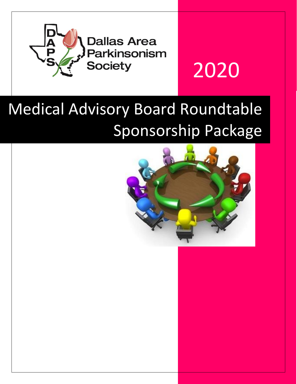

# 2020

## Medical Advisory Board Roundtable Sponsorship Package

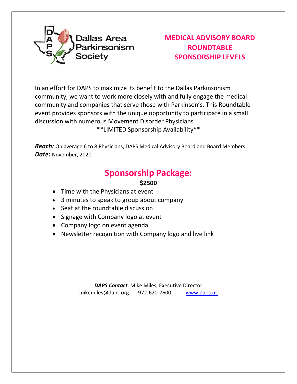

#### **MEDICAL ADVISORY BOARD ROUNDTABLE SPONSORSHIP LEVELS**

In an effort for DAPS to maximize its benefit to the Dallas Parkinsonism community, we want to work more closely with and fully engage the medical community and companies that serve those with Parkinson's. This Roundtable event provides sponsors with the unique opportunity to participate in a small discussion with numerous Movement Disorder Physicians.

\*\*LIMITED Sponsorship Availability\*\*

**Reach:** On average 6 to 8 Physicians, DAPS Medical Advisory Board and Board Members *Date:* November, 2020

### **Sponsorship Package:**

#### **\$2500**

- Time with the Physicians at event
- 3 minutes to speak to group about company
- Seat at the roundtable discussion
- Signage with Company logo at event
- Company logo on event agenda
- Newsletter recognition with Company logo and live link

*DAPS Contact*: Mike Miles, Executive Director mikemiles@daps.org 972-620-7600 [www.daps.us](http://www.daps.us/)